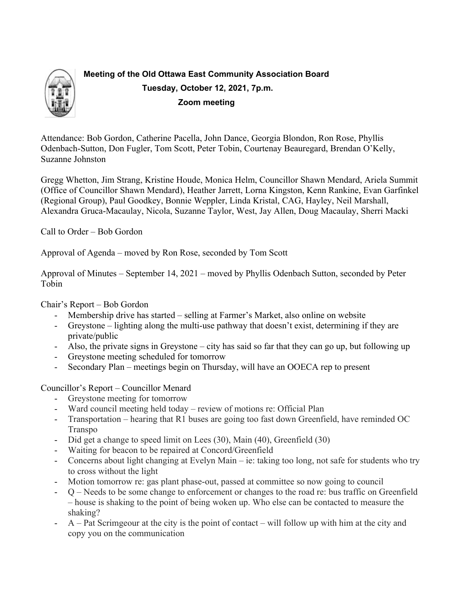

# **Meeting of the Old Ottawa East Community Association Board Tuesday, October 12, 2021, 7p.m. Zoom meeting**

Attendance: Bob Gordon, Catherine Pacella, John Dance, Georgia Blondon, Ron Rose, Phyllis Odenbach-Sutton, Don Fugler, Tom Scott, Peter Tobin, Courtenay Beauregard, Brendan O'Kelly, Suzanne Johnston

Gregg Whetton, Jim Strang, Kristine Houde, Monica Helm, Councillor Shawn Mendard, Ariela Summit (Office of Councillor Shawn Mendard), Heather Jarrett, Lorna Kingston, Kenn Rankine, Evan Garfinkel (Regional Group), Paul Goodkey, Bonnie Weppler, Linda Kristal, CAG, Hayley, Neil Marshall, Alexandra Gruca-Macaulay, Nicola, Suzanne Taylor, West, Jay Allen, Doug Macaulay, Sherri Macki

Call to Order – Bob Gordon

Approval of Agenda – moved by Ron Rose, seconded by Tom Scott

Approval of Minutes – September 14, 2021 – moved by Phyllis Odenbach Sutton, seconded by Peter Tobin

Chair's Report – Bob Gordon

- Membership drive has started selling at Farmer's Market, also online on website
- Greystone lighting along the multi-use pathway that doesn't exist, determining if they are private/public
- Also, the private signs in Greystone city has said so far that they can go up, but following up
- Greystone meeting scheduled for tomorrow
- Secondary Plan meetings begin on Thursday, will have an OOECA rep to present

Councillor's Report – Councillor Menard

- Greystone meeting for tomorrow
- Ward council meeting held today review of motions re: Official Plan
- Transportation hearing that R1 buses are going too fast down Greenfield, have reminded OC Transpo
- Did get a change to speed limit on Lees (30), Main (40), Greenfield (30)
- Waiting for beacon to be repaired at Concord/Greenfield
- Concerns about light changing at Evelyn Main ie: taking too long, not safe for students who try to cross without the light
- Motion tomorrow re: gas plant phase-out, passed at committee so now going to council
- Q Needs to be some change to enforcement or changes to the road re: bus traffic on Greenfield – house is shaking to the point of being woken up. Who else can be contacted to measure the shaking?
- A Pat Scrimgeour at the city is the point of contact will follow up with him at the city and copy you on the communication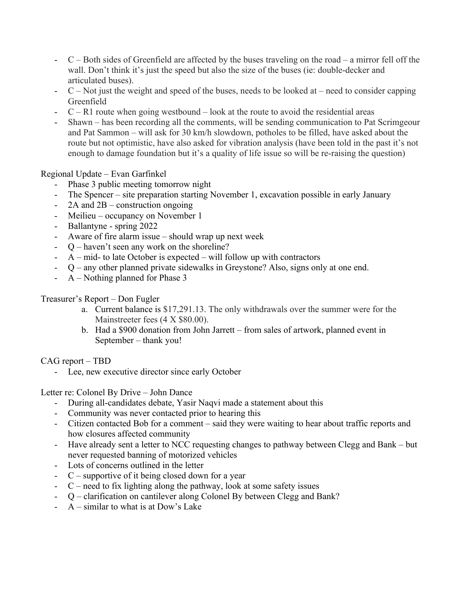- C Both sides of Greenfield are affected by the buses traveling on the road a mirror fell off the wall. Don't think it's just the speed but also the size of the buses (ie: double-decker and articulated buses).
- $C$  Not just the weight and speed of the buses, needs to be looked at need to consider capping Greenfield
- $C R1$  route when going westbound  $-\text{look}$  at the route to avoid the residential areas
- Shawn has been recording all the comments, will be sending communication to Pat Scrimgeour and Pat Sammon – will ask for 30 km/h slowdown, potholes to be filled, have asked about the route but not optimistic, have also asked for vibration analysis (have been told in the past it's not enough to damage foundation but it's a quality of life issue so will be re-raising the question)

Regional Update – Evan Garfinkel

- Phase 3 public meeting tomorrow night
- The Spencer site preparation starting November 1, excavation possible in early January
- $2A$  and  $2B$  construction ongoing
- Meilieu occupancy on November 1
- Ballantyne spring 2022
- Aware of fire alarm issue should wrap up next week
- Q haven't seen any work on the shoreline?
- $A$  mid- to late October is expected will follow up with contractors
- Q any other planned private sidewalks in Greystone? Also, signs only at one end.
- A Nothing planned for Phase 3

Treasurer's Report – Don Fugler

- a. Current balance is \$17,291.13. The only withdrawals over the summer were for the Mainstreeter fees (4 X \$80.00).
- b. Had a \$900 donation from John Jarrett from sales of artwork, planned event in September – thank you!

CAG report – TBD

- Lee, new executive director since early October

Letter re: Colonel By Drive – John Dance

- During all-candidates debate, Yasir Naqvi made a statement about this
- Community was never contacted prior to hearing this
- Citizen contacted Bob for a comment said they were waiting to hear about traffic reports and how closures affected community
- Have already sent a letter to NCC requesting changes to pathway between Clegg and Bank but never requested banning of motorized vehicles
- Lots of concerns outlined in the letter
- $C$  supportive of it being closed down for a year
- $C$  need to fix lighting along the pathway, look at some safety issues
- Q clarification on cantilever along Colonel By between Clegg and Bank?
- $A$  similar to what is at Dow's Lake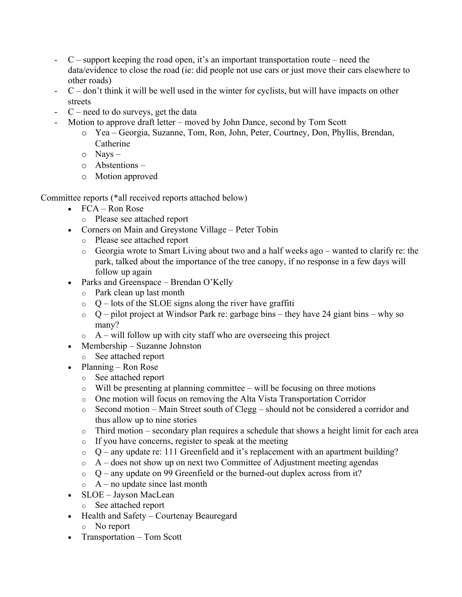- C support keeping the road open, it's an important transportation route need the data/evidence to close the road (ie: did people not use cars or just move their cars elsewhere to other roads)
- $C$  don't think it will be well used in the winter for cyclists, but will have impacts on other streets
- $C$  need to do surveys, get the data
- Motion to approve draft letter moved by John Dance, second by Tom Scott
	- o Yea Georgia, Suzanne, Tom, Ron, John, Peter, Courtney, Don, Phyllis, Brendan, Catherine
	- o Nays –
	- o Abstentions –
	- o Motion approved

Committee reports (\*all received reports attached below)

- FCA Ron Rose
	- o Please see attached report
- Corners on Main and Greystone Village Peter Tobin
	- o Please see attached report
	- o Georgia wrote to Smart Living about two and a half weeks ago wanted to clarify re: the park, talked about the importance of the tree canopy, if no response in a few days will follow up again
- Parks and Greenspace Brendan O'Kelly
	- o Park clean up last month
	- $\circ$  Q lots of the SLOE signs along the river have graffiti
	- $\circ$  Q pilot project at Windsor Park re: garbage bins they have 24 giant bins why so many?
	- $\circ$  A will follow up with city staff who are overseeing this project
- Membership Suzanne Johnston
	- o See attached report
- Planning Ron Rose
	- o See attached report
	- $\circ$  Will be presenting at planning committee will be focusing on three motions
	- o One motion will focus on removing the Alta Vista Transportation Corridor
	- o Second motion Main Street south of Clegg should not be considered a corridor and thus allow up to nine stories
	- $\circ$  Third motion secondary plan requires a schedule that shows a height limit for each area
	- o If you have concerns, register to speak at the meeting
	- $\circ$  Q any update re: 111 Greenfield and it's replacement with an apartment building?
	- $\circ$  A does not show up on next two Committee of Adjustment meeting agendas
	- $\circ$  O any update on 99 Greenfield or the burned-out duplex across from it?
	- $\circ$  A no update since last month
- SLOE Jayson MacLean
	- o See attached report
- Health and Safety Courtenay Beauregard
	- o No report
- Transportation Tom Scott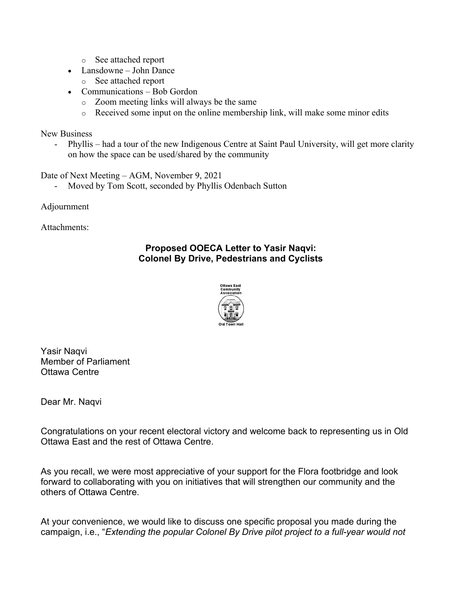- o See attached report
- Lansdowne John Dance
	- o See attached report
- Communications Bob Gordon
	- o Zoom meeting links will always be the same
	- o Received some input on the online membership link, will make some minor edits

New Business

- Phyllis – had a tour of the new Indigenous Centre at Saint Paul University, will get more clarity on how the space can be used/shared by the community

Date of Next Meeting – AGM, November 9, 2021

Moved by Tom Scott, seconded by Phyllis Odenbach Sutton

Adjournment

Attachments:

# **Proposed OOECA Letter to Yasir Naqvi: Colonel By Drive, Pedestrians and Cyclists**



Yasir Naqvi Member of Parliament Ottawa Centre

Dear Mr. Naqvi

Congratulations on your recent electoral victory and welcome back to representing us in Old Ottawa East and the rest of Ottawa Centre.

As you recall, we were most appreciative of your support for the Flora footbridge and look forward to collaborating with you on initiatives that will strengthen our community and the others of Ottawa Centre.

At your convenience, we would like to discuss one specific proposal you made during the campaign, i.e., "*Extending the popular Colonel By Drive pilot project to a full-year would not*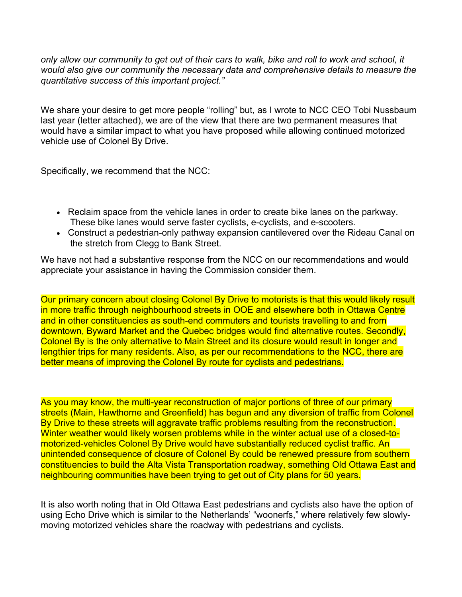*only allow our community to get out of their cars to walk, bike and roll to work and school, it would also give our community the necessary data and comprehensive details to measure the quantitative success of this important project."*

We share your desire to get more people "rolling" but, as I wrote to NCC CEO Tobi Nussbaum last year (letter attached), we are of the view that there are two permanent measures that would have a similar impact to what you have proposed while allowing continued motorized vehicle use of Colonel By Drive.

Specifically, we recommend that the NCC:

- Reclaim space from the vehicle lanes in order to create bike lanes on the parkway. These bike lanes would serve faster cyclists, e-cyclists, and e-scooters.
- Construct a pedestrian-only pathway expansion cantilevered over the Rideau Canal on the stretch from Clegg to Bank Street.

We have not had a substantive response from the NCC on our recommendations and would appreciate your assistance in having the Commission consider them.

Our primary concern about closing Colonel By Drive to motorists is that this would likely result in more traffic through neighbourhood streets in OOE and elsewhere both in Ottawa Centre and in other constituencies as south-end commuters and tourists travelling to and from downtown, Byward Market and the Quebec bridges would find alternative routes. Secondly, Colonel By is the only alternative to Main Street and its closure would result in longer and lengthier trips for many residents. Also, as per our recommendations to the NCC, there are better means of improving the Colonel By route for cyclists and pedestrians.

As you may know, the multi-year reconstruction of major portions of three of our primary streets (Main, Hawthorne and Greenfield) has begun and any diversion of traffic from Colonel By Drive to these streets will aggravate traffic problems resulting from the reconstruction. Winter weather would likely worsen problems while in the winter actual use of a closed-tomotorized-vehicles Colonel By Drive would have substantially reduced cyclist traffic. An unintended consequence of closure of Colonel By could be renewed pressure from southern constituencies to build the Alta Vista Transportation roadway, something Old Ottawa East and neighbouring communities have been trying to get out of City plans for 50 years.

It is also worth noting that in Old Ottawa East pedestrians and cyclists also have the option of using Echo Drive which is similar to the Netherlands' "woonerfs," where relatively few slowlymoving motorized vehicles share the roadway with pedestrians and cyclists.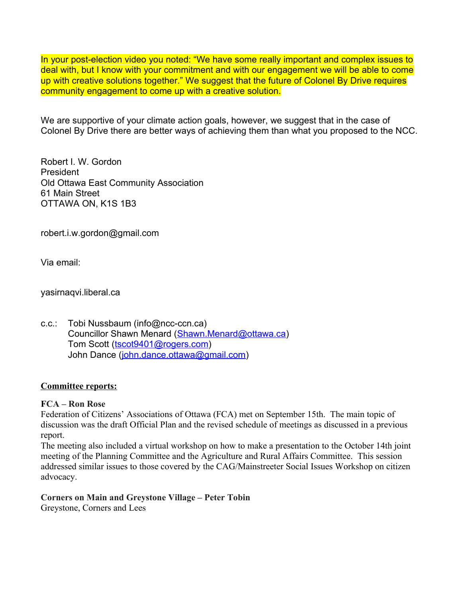In your post-election video you noted: "We have some really important and complex issues to deal with, but I know with your commitment and with our engagement we will be able to come up with creative solutions together." We suggest that the future of Colonel By Drive requires community engagement to come up with a creative solution.

We are supportive of your climate action goals, however, we suggest that in the case of Colonel By Drive there are better ways of achieving them than what you proposed to the NCC.

Robert I. W. Gordon President Old Ottawa East Community Association 61 Main Street OTTAWA ON, K1S 1B3

robert.i.w.gordon@gmail.com

Via email:

yasirnaqvi.liberal.ca

c.c.: Tobi Nussbaum (info@ncc-ccn.ca) Councillor Shawn Menard ([Shawn.Menard@ottawa.ca](mailto:Shawn.Menard@ottawa.ca)) Tom Scott [\(tscot9401@rogers.com](mailto:tscot9401@rogers.com)) John Dance [\(john.dance.ottawa@gmail.com\)](mailto:john.dance.ottawa@gmail.com)

#### **Committee reports:**

#### **FCA – Ron Rose**

Federation of Citizens' Associations of Ottawa (FCA) met on September 15th. The main topic of discussion was the draft Official Plan and the revised schedule of meetings as discussed in a previous report.

The meeting also included a virtual workshop on how to make a presentation to the October 14th joint meeting of the Planning Committee and the Agriculture and Rural Affairs Committee. This session addressed similar issues to those covered by the CAG/Mainstreeter Social Issues Workshop on citizen advocacy.

**Corners on Main and Greystone Village – Peter Tobin** Greystone, Corners and Lees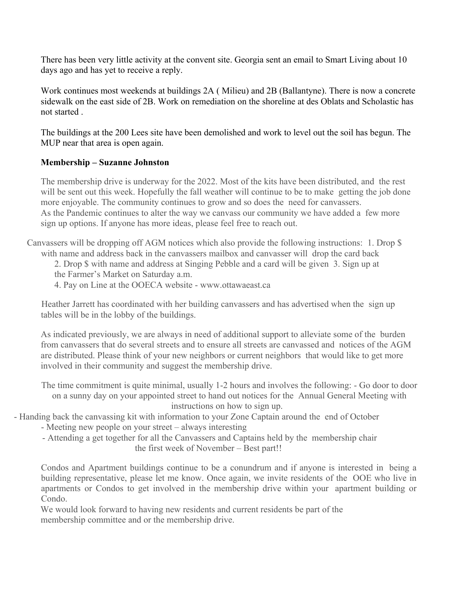There has been very little activity at the convent site. Georgia sent an email to Smart Living about 10 days ago and has yet to receive a reply.

Work continues most weekends at buildings 2A ( Milieu) and 2B (Ballantyne). There is now a concrete sidewalk on the east side of 2B. Work on remediation on the shoreline at des Oblats and Scholastic has not started .

The buildings at the 200 Lees site have been demolished and work to level out the soil has begun. The MUP near that area is open again.

# **Membership – Suzanne Johnston**

The membership drive is underway for the 2022. Most of the kits have been distributed, and the rest will be sent out this week. Hopefully the fall weather will continue to be to make getting the job done more enjoyable. The community continues to grow and so does the need for canvassers. As the Pandemic continues to alter the way we canvass our community we have added a few more sign up options. If anyone has more ideas, please feel free to reach out.

Canvassers will be dropping off AGM notices which also provide the following instructions: 1. Drop \$ with name and address back in the canvassers mailbox and canvasser will drop the card back

2. Drop \$ with name and address at Singing Pebble and a card will be given 3. Sign up at the Farmer's Market on Saturday a.m.

4. Pay on Line at the OOECA website - www.ottawaeast.ca

Heather Jarrett has coordinated with her building canvassers and has advertised when the sign up tables will be in the lobby of the buildings.

As indicated previously, we are always in need of additional support to alleviate some of the burden from canvassers that do several streets and to ensure all streets are canvassed and notices of the AGM are distributed. Please think of your new neighbors or current neighbors that would like to get more involved in their community and suggest the membership drive.

The time commitment is quite minimal, usually 1-2 hours and involves the following: - Go door to door on a sunny day on your appointed street to hand out notices for the Annual General Meeting with instructions on how to sign up.

- Handing back the canvassing kit with information to your Zone Captain around the end of October

- Meeting new people on your street always interesting
- Attending a get together for all the Canvassers and Captains held by the membership chair the first week of November – Best part!!

Condos and Apartment buildings continue to be a conundrum and if anyone is interested in being a building representative, please let me know. Once again, we invite residents of the OOE who live in apartments or Condos to get involved in the membership drive within your apartment building or Condo.

We would look forward to having new residents and current residents be part of the membership committee and or the membership drive.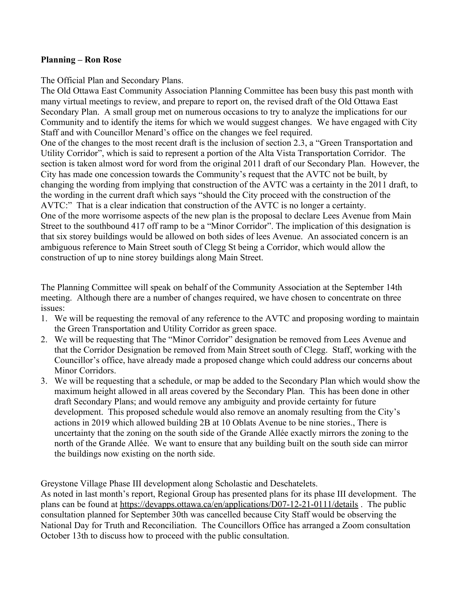#### **Planning – Ron Rose**

The Official Plan and Secondary Plans.

The Old Ottawa East Community Association Planning Committee has been busy this past month with many virtual meetings to review, and prepare to report on, the revised draft of the Old Ottawa East Secondary Plan. A small group met on numerous occasions to try to analyze the implications for our Community and to identify the items for which we would suggest changes. We have engaged with City Staff and with Councillor Menard's office on the changes we feel required.

One of the changes to the most recent draft is the inclusion of section 2.3, a "Green Transportation and Utility Corridor", which is said to represent a portion of the Alta Vista Transportation Corridor. The section is taken almost word for word from the original 2011 draft of our Secondary Plan. However, the City has made one concession towards the Community's request that the AVTC not be built, by changing the wording from implying that construction of the AVTC was a certainty in the 2011 draft, to the wording in the current draft which says "should the City proceed with the construction of the AVTC:" That is a clear indication that construction of the AVTC is no longer a certainty. One of the more worrisome aspects of the new plan is the proposal to declare Lees Avenue from Main Street to the southbound 417 off ramp to be a "Minor Corridor". The implication of this designation is that six storey buildings would be allowed on both sides of lees Avenue. An associated concern is an ambiguous reference to Main Street south of Clegg St being a Corridor, which would allow the construction of up to nine storey buildings along Main Street.

The Planning Committee will speak on behalf of the Community Association at the September 14th meeting. Although there are a number of changes required, we have chosen to concentrate on three issues:

- 1. We will be requesting the removal of any reference to the AVTC and proposing wording to maintain the Green Transportation and Utility Corridor as green space.
- 2. We will be requesting that The "Minor Corridor" designation be removed from Lees Avenue and that the Corridor Designation be removed from Main Street south of Clegg. Staff, working with the Councillor's office, have already made a proposed change which could address our concerns about Minor Corridors.
- 3. We will be requesting that a schedule, or map be added to the Secondary Plan which would show the maximum height allowed in all areas covered by the Secondary Plan. This has been done in other draft Secondary Plans; and would remove any ambiguity and provide certainty for future development. This proposed schedule would also remove an anomaly resulting from the City's actions in 2019 which allowed building 2B at 10 Oblats Avenue to be nine stories., There is uncertainty that the zoning on the south side of the Grande Allée exactly mirrors the zoning to the north of the Grande Allée. We want to ensure that any building built on the south side can mirror the buildings now existing on the north side.

Greystone Village Phase III development along Scholastic and Deschatelets.

As noted in last month's report, Regional Group has presented plans for its phase III development. The plans can be found at<https://devapps.ottawa.ca/en/applications/D07-12-21-0111/details> . The public consultation planned for September 30th was cancelled because City Staff would be observing the National Day for Truth and Reconciliation. The Councillors Office has arranged a Zoom consultation October 13th to discuss how to proceed with the public consultation.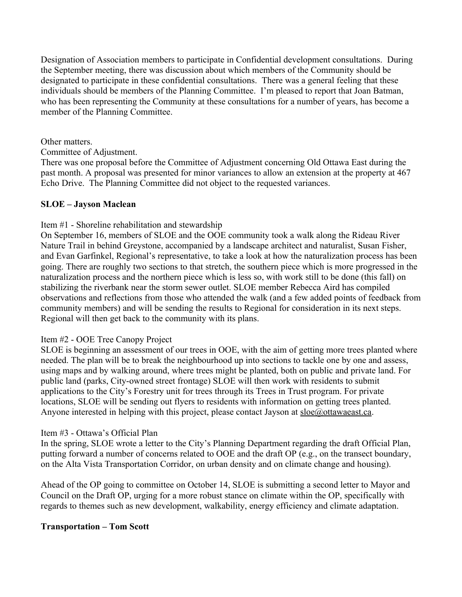Designation of Association members to participate in Confidential development consultations. During the September meeting, there was discussion about which members of the Community should be designated to participate in these confidential consultations. There was a general feeling that these individuals should be members of the Planning Committee. I'm pleased to report that Joan Batman, who has been representing the Community at these consultations for a number of years, has become a member of the Planning Committee.

Other matters.

Committee of Adjustment.

There was one proposal before the Committee of Adjustment concerning Old Ottawa East during the past month. A proposal was presented for minor variances to allow an extension at the property at 467 Echo Drive. The Planning Committee did not object to the requested variances.

# **SLOE – Jayson Maclean**

# Item #1 - Shoreline rehabilitation and stewardship

On September 16, members of SLOE and the OOE community took a walk along the Rideau River Nature Trail in behind Greystone, accompanied by a landscape architect and naturalist, Susan Fisher, and Evan Garfinkel, Regional's representative, to take a look at how the naturalization process has been going. There are roughly two sections to that stretch, the southern piece which is more progressed in the naturalization process and the northern piece which is less so, with work still to be done (this fall) on stabilizing the riverbank near the storm sewer outlet. SLOE member Rebecca Aird has compiled observations and reflections from those who attended the walk (and a few added points of feedback from community members) and will be sending the results to Regional for consideration in its next steps. Regional will then get back to the community with its plans.

# Item #2 - OOE Tree Canopy Project

SLOE is beginning an assessment of our trees in OOE, with the aim of getting more trees planted where needed. The plan will be to break the neighbourhood up into sections to tackle one by one and assess, using maps and by walking around, where trees might be planted, both on public and private land. For public land (parks, City-owned street frontage) SLOE will then work with residents to submit applications to the City's Forestry unit for trees through its Trees in Trust program. For private locations, SLOE will be sending out flyers to residents with information on getting trees planted. Anyone interested in helping with this project, please contact Jayson at  $sloe@ottawaeast.ca$ .

# Item #3 - Ottawa's Official Plan

In the spring, SLOE wrote a letter to the City's Planning Department regarding the draft Official Plan, putting forward a number of concerns related to OOE and the draft OP (e.g., on the transect boundary, on the Alta Vista Transportation Corridor, on urban density and on climate change and housing).

Ahead of the OP going to committee on October 14, SLOE is submitting a second letter to Mayor and Council on the Draft OP, urging for a more robust stance on climate within the OP, specifically with regards to themes such as new development, walkability, energy efficiency and climate adaptation.

#### **Transportation – Tom Scott**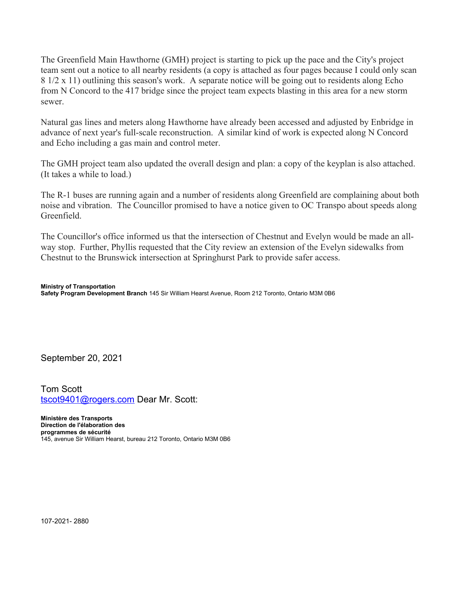The Greenfield Main Hawthorne (GMH) project is starting to pick up the pace and the City's project team sent out a notice to all nearby residents (a copy is attached as four pages because I could only scan 8 1/2 x 11) outlining this season's work. A separate notice will be going out to residents along Echo from N Concord to the 417 bridge since the project team expects blasting in this area for a new storm sewer.

Natural gas lines and meters along Hawthorne have already been accessed and adjusted by Enbridge in advance of next year's full-scale reconstruction. A similar kind of work is expected along N Concord and Echo including a gas main and control meter.

The GMH project team also updated the overall design and plan: a copy of the keyplan is also attached. (It takes a while to load.)

The R-1 buses are running again and a number of residents along Greenfield are complaining about both noise and vibration. The Councillor promised to have a notice given to OC Transpo about speeds along Greenfield.

The Councillor's office informed us that the intersection of Chestnut and Evelyn would be made an allway stop. Further, Phyllis requested that the City review an extension of the Evelyn sidewalks from Chestnut to the Brunswick intersection at Springhurst Park to provide safer access.

#### **Ministry of Transportation**

**Safety Program Development Branch** 145 Sir William Hearst Avenue, Room 212 Toronto, Ontario M3M 0B6

September 20, 2021

Tom Scott tscot9401@rogers.com Dear Mr. Scott:

**Ministère des Transports Direction de l'élaboration des programmes de sécurité** 145, avenue Sir William Hearst, bureau 212 Toronto, Ontario M3M 0B6

107-2021- 2880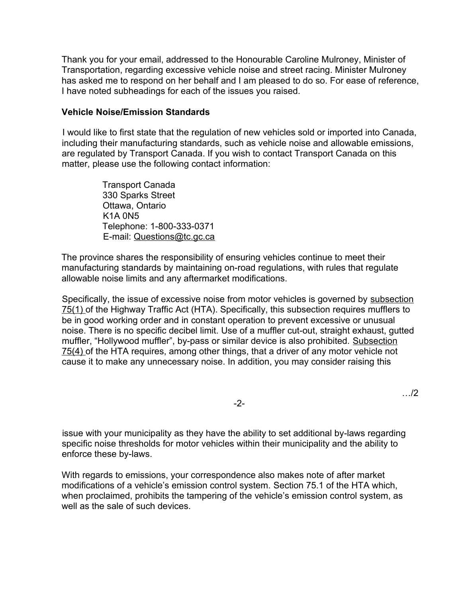Thank you for your email, addressed to the Honourable Caroline Mulroney, Minister of Transportation, regarding excessive vehicle noise and street racing. Minister Mulroney has asked me to respond on her behalf and I am pleased to do so. For ease of reference, I have noted subheadings for each of the issues you raised.

#### **Vehicle Noise/Emission Standards**

I would like to first state that the regulation of new vehicles sold or imported into Canada, including their manufacturing standards, such as vehicle noise and allowable emissions, are regulated by Transport Canada. If you wish to contact Transport Canada on this matter, please use the following contact information:

> Transport Canada 330 Sparks Street Ottawa, Ontario K1A 0N5 Telephone: 1-800-333-0371 E-mail: Questions@tc.gc.ca

The province shares the responsibility of ensuring vehicles continue to meet their manufacturing standards by maintaining on-road regulations, with rules that regulate allowable noise limits and any aftermarket modifications.

Specifically, the issue of excessive noise from motor vehicles is governed by subsection 75(1) of the Highway Traffic Act (HTA). Specifically, this subsection requires mufflers to be in good working order and in constant operation to prevent excessive or unusual noise. There is no specific decibel limit. Use of a muffler cut-out, straight exhaust, gutted muffler, "Hollywood muffler", by-pass or similar device is also prohibited. Subsection 75(4) of the HTA requires, among other things, that a driver of any motor vehicle not cause it to make any unnecessary noise. In addition, you may consider raising this

-2-

…/2

issue with your municipality as they have the ability to set additional by-laws regarding specific noise thresholds for motor vehicles within their municipality and the ability to enforce these by-laws.

With regards to emissions, your correspondence also makes note of after market modifications of a vehicle's emission control system. Section 75.1 of the HTA which, when proclaimed, prohibits the tampering of the vehicle's emission control system, as well as the sale of such devices.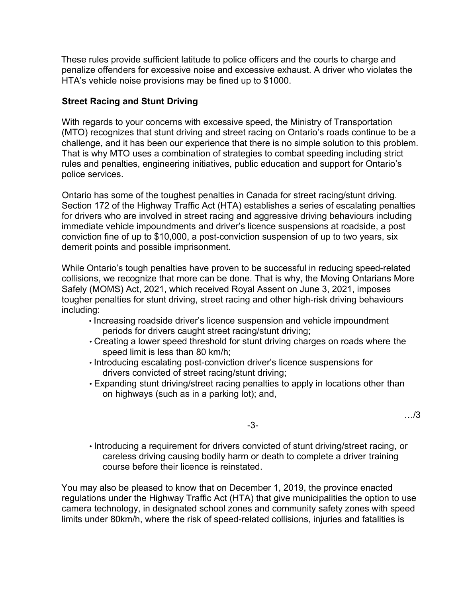These rules provide sufficient latitude to police officers and the courts to charge and penalize offenders for excessive noise and excessive exhaust. A driver who violates the HTA's vehicle noise provisions may be fined up to \$1000.

# **Street Racing and Stunt Driving**

With regards to your concerns with excessive speed, the Ministry of Transportation (MTO) recognizes that stunt driving and street racing on Ontario's roads continue to be a challenge, and it has been our experience that there is no simple solution to this problem. That is why MTO uses a combination of strategies to combat speeding including strict rules and penalties, engineering initiatives, public education and support for Ontario's police services.

Ontario has some of the toughest penalties in Canada for street racing/stunt driving. Section 172 of the Highway Traffic Act (HTA) establishes a series of escalating penalties for drivers who are involved in street racing and aggressive driving behaviours including immediate vehicle impoundments and driver's licence suspensions at roadside, a post conviction fine of up to \$10,000, a post-conviction suspension of up to two years, six demerit points and possible imprisonment.

While Ontario's tough penalties have proven to be successful in reducing speed-related collisions, we recognize that more can be done. That is why, the Moving Ontarians More Safely (MOMS) Act, 2021, which received Royal Assent on June 3, 2021, imposes tougher penalties for stunt driving, street racing and other high-risk driving behaviours including:

- Increasing roadside driver's licence suspension and vehicle impoundment periods for drivers caught street racing/stunt driving;
- Creating a lower speed threshold for stunt driving charges on roads where the speed limit is less than 80 km/h;
- Introducing escalating post-conviction driver's licence suspensions for drivers convicted of street racing/stunt driving;
- Expanding stunt driving/street racing penalties to apply in locations other than on highways (such as in a parking lot); and,

…/3

-3-

• Introducing a requirement for drivers convicted of stunt driving/street racing, or careless driving causing bodily harm or death to complete a driver training course before their licence is reinstated.

You may also be pleased to know that on December 1, 2019, the province enacted regulations under the Highway Traffic Act (HTA) that give municipalities the option to use camera technology, in designated school zones and community safety zones with speed limits under 80km/h, where the risk of speed-related collisions, injuries and fatalities is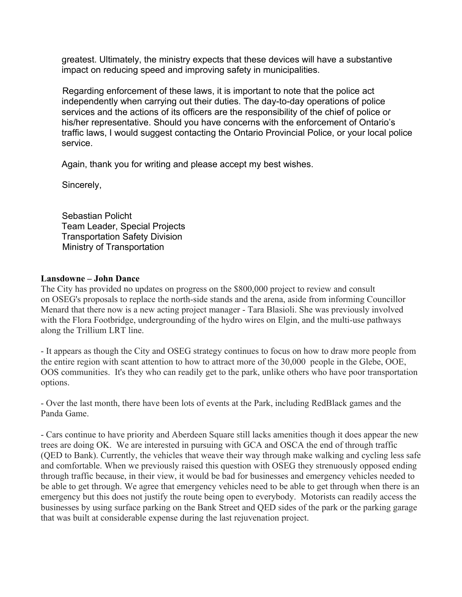greatest. Ultimately, the ministry expects that these devices will have a substantive impact on reducing speed and improving safety in municipalities.

Regarding enforcement of these laws, it is important to note that the police act independently when carrying out their duties. The day-to-day operations of police services and the actions of its officers are the responsibility of the chief of police or his/her representative. Should you have concerns with the enforcement of Ontario's traffic laws, I would suggest contacting the Ontario Provincial Police, or your local police service.

Again, thank you for writing and please accept my best wishes.

Sincerely,

Sebastian Policht Team Leader, Special Projects Transportation Safety Division Ministry of Transportation

#### **Lansdowne – John Dance**

The City has provided no updates on progress on the \$800,000 project to review and consult on OSEG's proposals to replace the north-side stands and the arena, aside from informing Councillor Menard that there now is a new acting project manager - Tara Blasioli. She was previously involved with the Flora Footbridge, undergrounding of the hydro wires on Elgin, and the multi-use pathways along the Trillium LRT line.

- It appears as though the City and OSEG strategy continues to focus on how to draw more people from the entire region with scant attention to how to attract more of the 30,000 people in the Glebe, OOE, OOS communities. It's they who can readily get to the park, unlike others who have poor transportation options.

- Over the last month, there have been lots of events at the Park, including RedBlack games and the Panda Game.

- Cars continue to have priority and Aberdeen Square still lacks amenities though it does appear the new trees are doing OK. We are interested in pursuing with GCA and OSCA the end of through traffic (QED to Bank). Currently, the vehicles that weave their way through make walking and cycling less safe and comfortable. When we previously raised this question with OSEG they strenuously opposed ending through traffic because, in their view, it would be bad for businesses and emergency vehicles needed to be able to get through. We agree that emergency vehicles need to be able to get through when there is an emergency but this does not justify the route being open to everybody. Motorists can readily access the businesses by using surface parking on the Bank Street and QED sides of the park or the parking garage that was built at considerable expense during the last rejuvenation project.